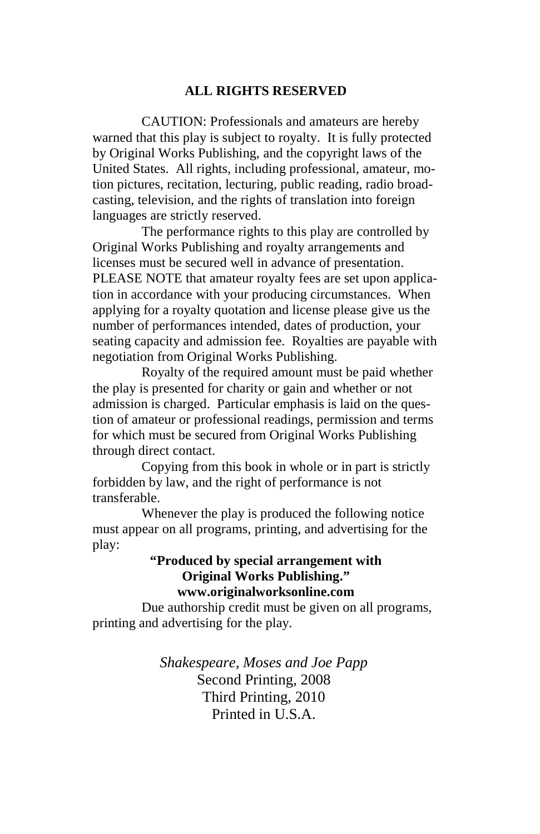#### **ALL RIGHTS RESERVED**

 CAUTION: Professionals and amateurs are hereby warned that this play is subject to royalty. It is fully protected by Original Works Publishing, and the copyright laws of the United States. All rights, including professional, amateur, motion pictures, recitation, lecturing, public reading, radio broadcasting, television, and the rights of translation into foreign languages are strictly reserved.

 The performance rights to this play are controlled by Original Works Publishing and royalty arrangements and licenses must be secured well in advance of presentation. PLEASE NOTE that amateur royalty fees are set upon application in accordance with your producing circumstances. When applying for a royalty quotation and license please give us the number of performances intended, dates of production, your seating capacity and admission fee. Royalties are payable with negotiation from Original Works Publishing.

 Royalty of the required amount must be paid whether the play is presented for charity or gain and whether or not admission is charged. Particular emphasis is laid on the question of amateur or professional readings, permission and terms for which must be secured from Original Works Publishing through direct contact.

 Copying from this book in whole or in part is strictly forbidden by law, and the right of performance is not transferable.

 Whenever the play is produced the following notice must appear on all programs, printing, and advertising for the play:

#### **"Produced by special arrangement with Original Works Publishing." www.originalworksonline.com**

 Due authorship credit must be given on all programs, printing and advertising for the play.

> *Shakespeare, Moses and Joe Papp*  Second Printing, 2008 Third Printing, 2010 Printed in U.S.A.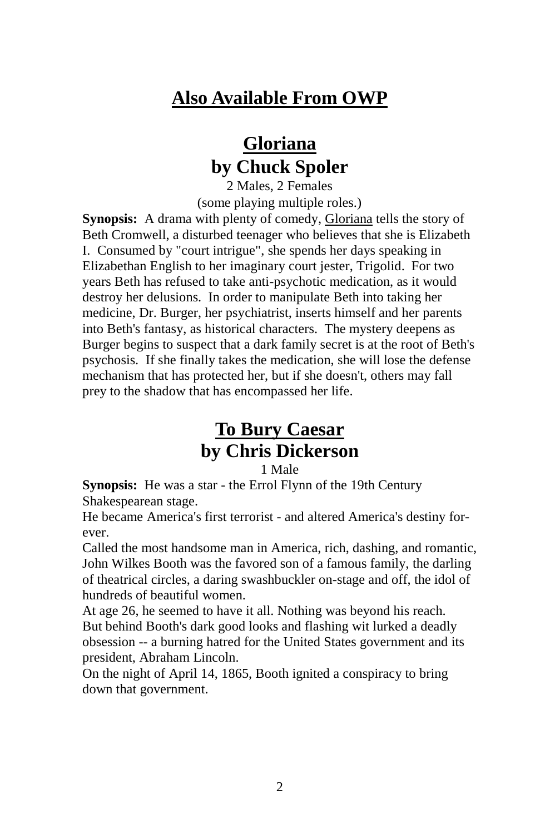# **Also Available From OWP**

# **Gloriana by Chuck Spoler**

2 Males, 2 Females (some playing multiple roles.)

**Synopsis:** A drama with plenty of comedy, Gloriana tells the story of Beth Cromwell, a disturbed teenager who believes that she is Elizabeth I. Consumed by "court intrigue", she spends her days speaking in Elizabethan English to her imaginary court jester, Trigolid. For two years Beth has refused to take anti-psychotic medication, as it would destroy her delusions. In order to manipulate Beth into taking her medicine, Dr. Burger, her psychiatrist, inserts himself and her parents into Beth's fantasy, as historical characters. The mystery deepens as Burger begins to suspect that a dark family secret is at the root of Beth's psychosis. If she finally takes the medication, she will lose the defense mechanism that has protected her, but if she doesn't, others may fall prey to the shadow that has encompassed her life.

# **To Bury Caesar by Chris Dickerson**

1 Male

**Synopsis:** He was a star - the Errol Flynn of the 19th Century Shakespearean stage.

He became America's first terrorist - and altered America's destiny forever.

Called the most handsome man in America, rich, dashing, and romantic, John Wilkes Booth was the favored son of a famous family, the darling of theatrical circles, a daring swashbuckler on-stage and off, the idol of hundreds of beautiful women.

At age 26, he seemed to have it all. Nothing was beyond his reach. But behind Booth's dark good looks and flashing wit lurked a deadly obsession -- a burning hatred for the United States government and its president, Abraham Lincoln.

On the night of April 14, 1865, Booth ignited a conspiracy to bring down that government.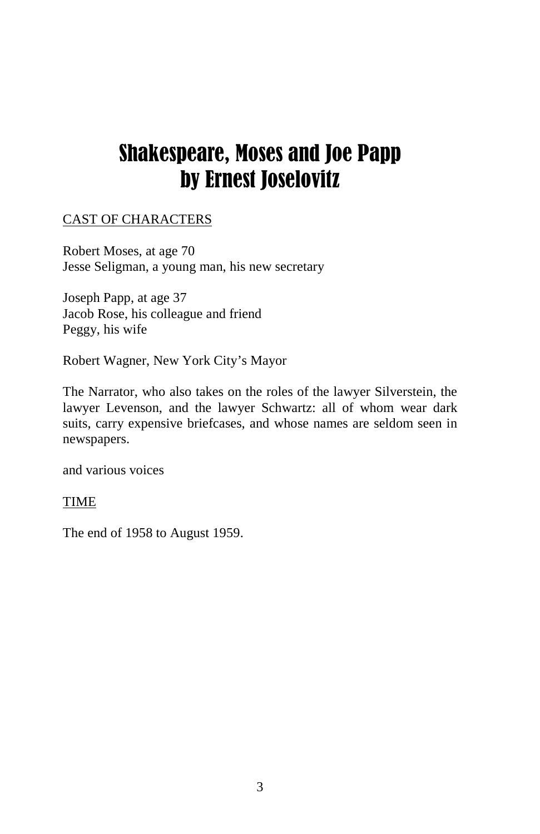# Shakespeare, Moses and Joe Papp by Ernest Joselovitz

## CAST OF CHARACTERS

Robert Moses, at age 70 Jesse Seligman, a young man, his new secretary

Joseph Papp, at age 37 Jacob Rose, his colleague and friend Peggy, his wife

Robert Wagner, New York City's Mayor

The Narrator, who also takes on the roles of the lawyer Silverstein, the lawyer Levenson, and the lawyer Schwartz: all of whom wear dark suits, carry expensive briefcases, and whose names are seldom seen in newspapers.

and various voices

#### TIME

The end of 1958 to August 1959.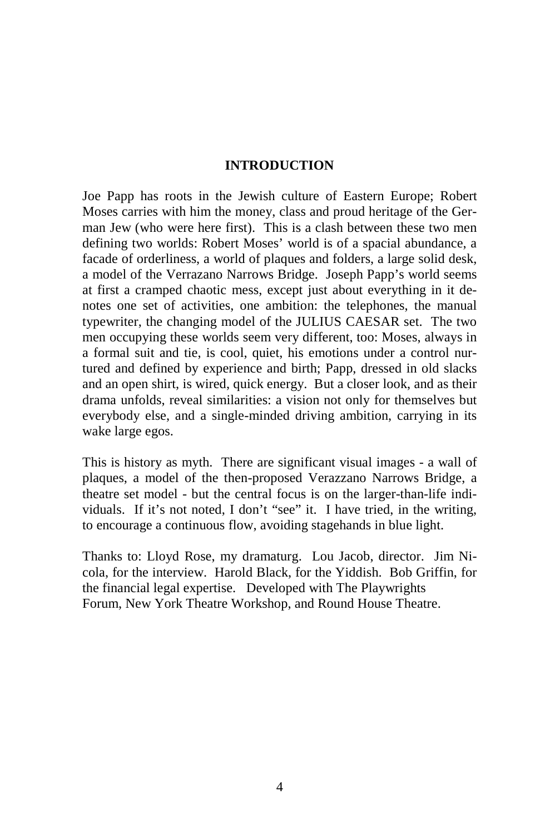#### **INTRODUCTION**

Joe Papp has roots in the Jewish culture of Eastern Europe; Robert Moses carries with him the money, class and proud heritage of the German Jew (who were here first). This is a clash between these two men defining two worlds: Robert Moses' world is of a spacial abundance, a facade of orderliness, a world of plaques and folders, a large solid desk, a model of the Verrazano Narrows Bridge. Joseph Papp's world seems at first a cramped chaotic mess, except just about everything in it denotes one set of activities, one ambition: the telephones, the manual typewriter, the changing model of the JULIUS CAESAR set. The two men occupying these worlds seem very different, too: Moses, always in a formal suit and tie, is cool, quiet, his emotions under a control nurtured and defined by experience and birth; Papp, dressed in old slacks and an open shirt, is wired, quick energy. But a closer look, and as their drama unfolds, reveal similarities: a vision not only for themselves but everybody else, and a single-minded driving ambition, carrying in its wake large egos.

This is history as myth. There are significant visual images - a wall of plaques, a model of the then-proposed Verazzano Narrows Bridge, a theatre set model - but the central focus is on the larger-than-life individuals. If it's not noted, I don't "see" it. I have tried, in the writing, to encourage a continuous flow, avoiding stagehands in blue light.

Thanks to: Lloyd Rose, my dramaturg. Lou Jacob, director. Jim Nicola, for the interview. Harold Black, for the Yiddish. Bob Griffin, for the financial legal expertise. Developed with The Playwrights Forum, New York Theatre Workshop, and Round House Theatre.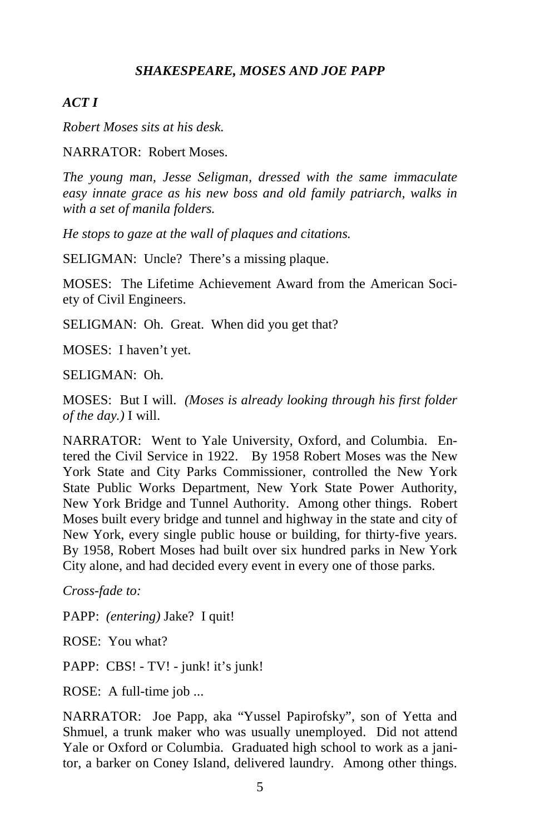#### *SHAKESPEARE, MOSES AND JOE PAPP*

#### *ACT I*

*Robert Moses sits at his desk.* 

NARRATOR: Robert Moses.

*The young man, Jesse Seligman, dressed with the same immaculate easy innate grace as his new boss and old family patriarch, walks in with a set of manila folders.* 

*He stops to gaze at the wall of plaques and citations.* 

SELIGMAN: Uncle? There's a missing plaque.

MOSES: The Lifetime Achievement Award from the American Society of Civil Engineers.

SELIGMAN: Oh. Great. When did you get that?

MOSES: I haven't yet.

SELIGMAN: Oh.

MOSES: But I will. *(Moses is already looking through his first folder of the day.)* I will.

NARRATOR: Went to Yale University, Oxford, and Columbia. Entered the Civil Service in 1922. By 1958 Robert Moses was the New York State and City Parks Commissioner, controlled the New York State Public Works Department, New York State Power Authority, New York Bridge and Tunnel Authority. Among other things. Robert Moses built every bridge and tunnel and highway in the state and city of New York, every single public house or building, for thirty-five years. By 1958, Robert Moses had built over six hundred parks in New York City alone, and had decided every event in every one of those parks.

*Cross-fade to:* 

PAPP: *(entering)* Jake? I quit!

ROSE: You what?

PAPP: CBS! - TV! - junk! it's junk!

ROSE: A full-time job ...

NARRATOR: Joe Papp, aka "Yussel Papirofsky", son of Yetta and Shmuel, a trunk maker who was usually unemployed. Did not attend Yale or Oxford or Columbia. Graduated high school to work as a janitor, a barker on Coney Island, delivered laundry. Among other things.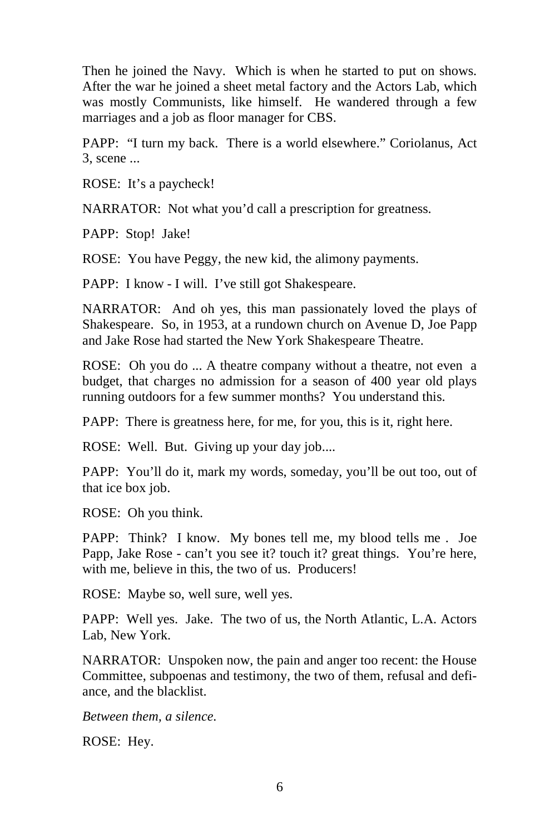Then he joined the Navy. Which is when he started to put on shows. After the war he joined a sheet metal factory and the Actors Lab, which was mostly Communists, like himself. He wandered through a few marriages and a job as floor manager for CBS.

PAPP: "I turn my back. There is a world elsewhere." Coriolanus, Act 3, scene ...

ROSE: It's a paycheck!

NARRATOR: Not what you'd call a prescription for greatness.

PAPP: Stop! Jake!

ROSE: You have Peggy, the new kid, the alimony payments.

PAPP: I know - I will. I've still got Shakespeare.

NARRATOR: And oh yes, this man passionately loved the plays of Shakespeare. So, in 1953, at a rundown church on Avenue D, Joe Papp and Jake Rose had started the New York Shakespeare Theatre.

ROSE: Oh you do ... A theatre company without a theatre, not even a budget, that charges no admission for a season of 400 year old plays running outdoors for a few summer months? You understand this.

PAPP: There is greatness here, for me, for you, this is it, right here.

ROSE: Well. But. Giving up your day job....

PAPP: You'll do it, mark my words, someday, you'll be out too, out of that ice box job.

ROSE: Oh you think.

PAPP: Think? I know. My bones tell me, my blood tells me . Joe Papp, Jake Rose - can't you see it? touch it? great things. You're here, with me, believe in this, the two of us. Producers!

ROSE: Maybe so, well sure, well yes.

PAPP: Well yes. Jake. The two of us, the North Atlantic, L.A. Actors Lab, New York.

NARRATOR: Unspoken now, the pain and anger too recent: the House Committee, subpoenas and testimony, the two of them, refusal and defiance, and the blacklist.

*Between them, a silence.* 

ROSE: Hey.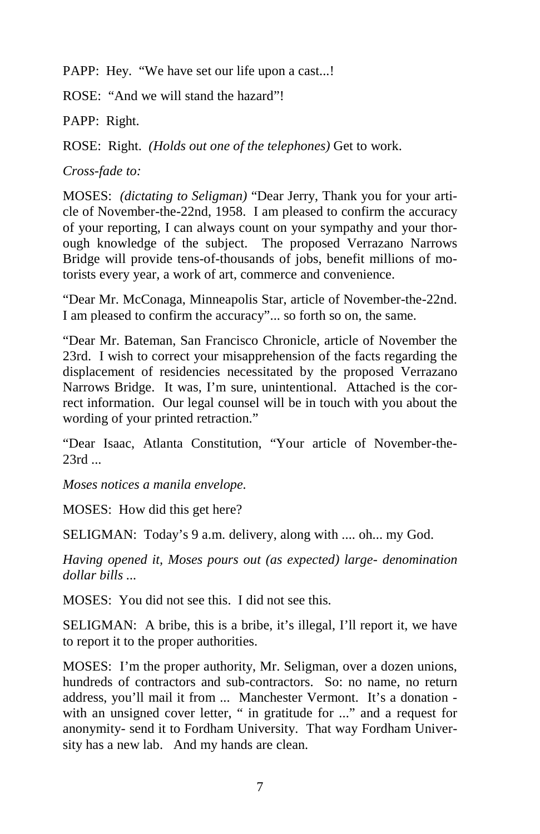PAPP: Hey. "We have set our life upon a cast...!

ROSE: "And we will stand the hazard"!

PAPP: Right.

ROSE: Right. *(Holds out one of the telephones)* Get to work.

*Cross-fade to:* 

MOSES: *(dictating to Seligman)* "Dear Jerry, Thank you for your article of November-the-22nd, 1958. I am pleased to confirm the accuracy of your reporting, I can always count on your sympathy and your thorough knowledge of the subject. The proposed Verrazano Narrows Bridge will provide tens-of-thousands of jobs, benefit millions of motorists every year, a work of art, commerce and convenience.

"Dear Mr. McConaga, Minneapolis Star, article of November-the-22nd. I am pleased to confirm the accuracy"... so forth so on, the same.

"Dear Mr. Bateman, San Francisco Chronicle, article of November the 23rd. I wish to correct your misapprehension of the facts regarding the displacement of residencies necessitated by the proposed Verrazano Narrows Bridge. It was, I'm sure, unintentional. Attached is the correct information. Our legal counsel will be in touch with you about the wording of your printed retraction."

"Dear Isaac, Atlanta Constitution, "Your article of November-the-23rd ...

*Moses notices a manila envelope.* 

MOSES: How did this get here?

SELIGMAN: Today's 9 a.m. delivery, along with .... oh... my God.

*Having opened it, Moses pours out (as expected) large- denomination dollar bills ...* 

MOSES: You did not see this. I did not see this.

SELIGMAN: A bribe, this is a bribe, it's illegal, I'll report it, we have to report it to the proper authorities.

MOSES: I'm the proper authority, Mr. Seligman, over a dozen unions, hundreds of contractors and sub-contractors. So: no name, no return address, you'll mail it from ... Manchester Vermont. It's a donation with an unsigned cover letter, " in gratitude for ..." and a request for anonymity- send it to Fordham University. That way Fordham University has a new lab. And my hands are clean.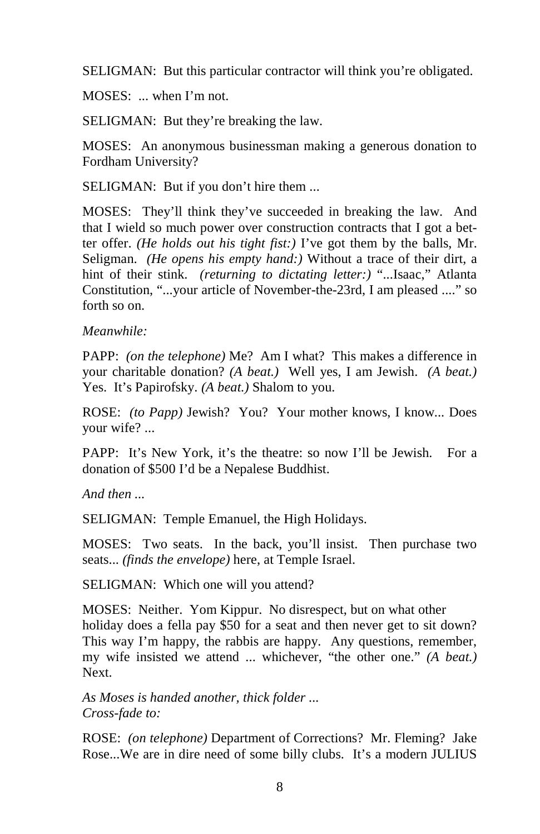SELIGMAN: But this particular contractor will think you're obligated.

MOSES: ... when I'm not.

SELIGMAN: But they're breaking the law.

MOSES: An anonymous businessman making a generous donation to Fordham University?

SELIGMAN: But if you don't hire them ...

MOSES: They'll think they've succeeded in breaking the law. And that I wield so much power over construction contracts that I got a better offer. *(He holds out his tight fist:)* I've got them by the balls, Mr. Seligman. *(He opens his empty hand:)* Without a trace of their dirt, a hint of their stink. *(returning to dictating letter:)* "...Isaac," Atlanta Constitution, "...your article of November-the-23rd, I am pleased ...." so forth so on.

### *Meanwhile:*

PAPP: *(on the telephone)* Me? Am I what? This makes a difference in your charitable donation? *(A beat.)* Well yes, I am Jewish. *(A beat.)*  Yes. It's Papirofsky. *(A beat.)* Shalom to you.

ROSE: *(to Papp)* Jewish? You? Your mother knows, I know... Does your wife? ...

PAPP: It's New York, it's the theatre: so now I'll be Jewish. For a donation of \$500 I'd be a Nepalese Buddhist.

*And then ...* 

SELIGMAN: Temple Emanuel, the High Holidays.

MOSES: Two seats. In the back, you'll insist. Then purchase two seats... *(finds the envelope)* here, at Temple Israel.

SELIGMAN: Which one will you attend?

MOSES: Neither. Yom Kippur. No disrespect, but on what other holiday does a fella pay \$50 for a seat and then never get to sit down? This way I'm happy, the rabbis are happy. Any questions, remember, my wife insisted we attend ... whichever, "the other one." *(A beat.)*  Next.

*As Moses is handed another, thick folder ... Cross-fade to:* 

ROSE: *(on telephone)* Department of Corrections? Mr. Fleming? Jake Rose...We are in dire need of some billy clubs. It's a modern JULIUS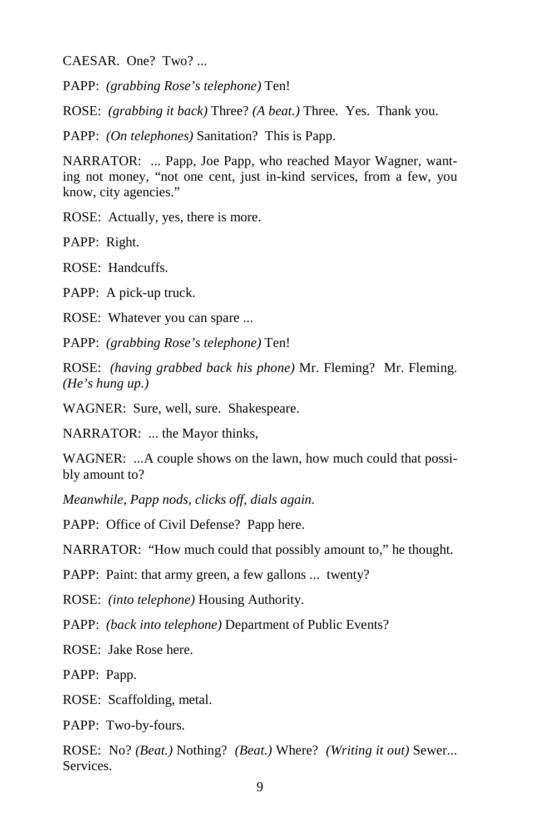CAESAR. One? Two? ...

PAPP: *(grabbing Rose's telephone)* Ten!

ROSE: *(grabbing it back)* Three? *(A beat.)* Three. Yes. Thank you.

PAPP: *(On telephones)* Sanitation? This is Papp.

NARRATOR: ... Papp, Joe Papp, who reached Mayor Wagner, wanting not money, "not one cent, just in-kind services, from a few, you know, city agencies."

ROSE: Actually, yes, there is more.

PAPP: Right.

ROSE: Handcuffs.

PAPP: A pick-up truck.

ROSE: Whatever you can spare ...

PAPP: *(grabbing Rose's telephone)* Ten!

ROSE: *(having grabbed back his phone)* Mr. Fleming? Mr. Fleming. *(He's hung up.)*

WAGNER: Sure, well, sure. Shakespeare.

NARRATOR: ... the Mayor thinks,

WAGNER: ...A couple shows on the lawn, how much could that possibly amount to?

*Meanwhile, Papp nods, clicks off, dials again.* 

PAPP: Office of Civil Defense? Papp here.

NARRATOR: "How much could that possibly amount to," he thought.

PAPP: Paint: that army green, a few gallons ... twenty?

ROSE: *(into telephone)* Housing Authority.

PAPP: *(back into telephone)* Department of Public Events?

ROSE: Jake Rose here.

PAPP: Papp.

ROSE: Scaffolding, metal.

PAPP: Two-by-fours.

ROSE: No? *(Beat.)* Nothing? *(Beat.)* Where? *(Writing it out)* Sewer... Services.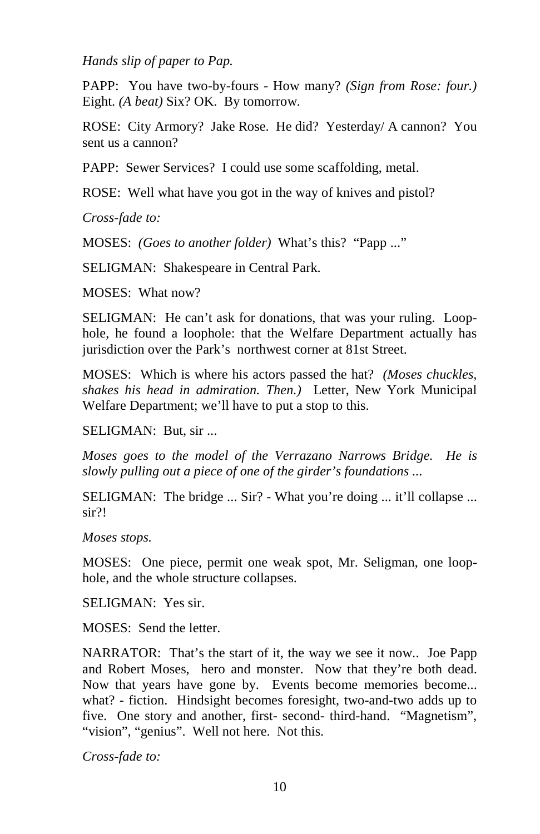*Hands slip of paper to Pap.* 

PAPP: You have two-by-fours - How many? *(Sign from Rose: four.)*  Eight. *(A beat)* Six? OK. By tomorrow.

ROSE: City Armory? Jake Rose. He did? Yesterday/ A cannon? You sent us a cannon?

PAPP: Sewer Services? I could use some scaffolding, metal.

ROSE: Well what have you got in the way of knives and pistol?

*Cross-fade to:* 

MOSES: *(Goes to another folder)* What's this? "Papp ..."

SELIGMAN: Shakespeare in Central Park.

MOSES: What now?

SELIGMAN: He can't ask for donations, that was your ruling. Loophole, he found a loophole: that the Welfare Department actually has jurisdiction over the Park's northwest corner at 81st Street.

MOSES: Which is where his actors passed the hat? *(Moses chuckles, shakes his head in admiration. Then.)* Letter, New York Municipal Welfare Department; we'll have to put a stop to this.

SELIGMAN: But, sir ...

*Moses goes to the model of the Verrazano Narrows Bridge. He is slowly pulling out a piece of one of the girder's foundations ...* 

SELIGMAN: The bridge ... Sir? - What you're doing ... it'll collapse ... sir?!

*Moses stops.* 

MOSES: One piece, permit one weak spot, Mr. Seligman, one loophole, and the whole structure collapses.

SELIGMAN: Yes sir.

MOSES: Send the letter.

NARRATOR: That's the start of it, the way we see it now.. Joe Papp and Robert Moses, hero and monster. Now that they're both dead. Now that years have gone by. Events become memories become... what? - fiction. Hindsight becomes foresight, two-and-two adds up to five. One story and another, first- second- third-hand. "Magnetism", "vision", "genius". Well not here. Not this.

*Cross-fade to:*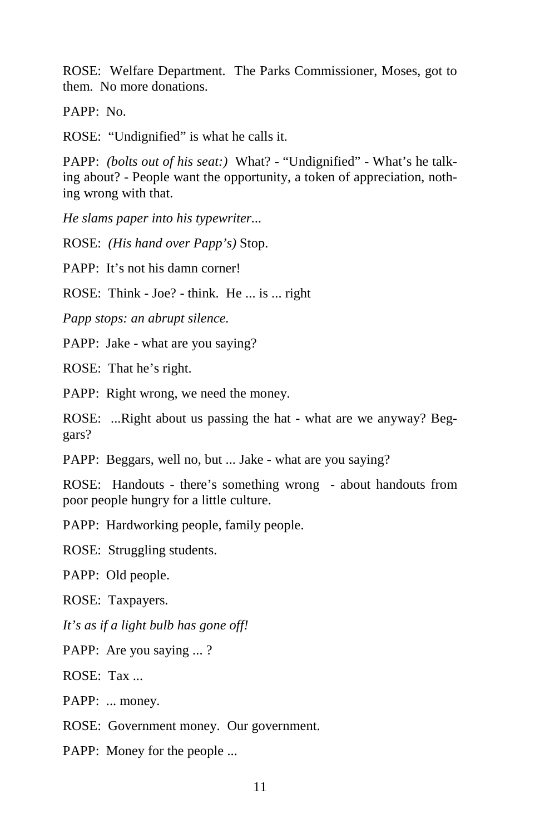ROSE: Welfare Department. The Parks Commissioner, Moses, got to them. No more donations.

PAPP: No.

ROSE: "Undignified" is what he calls it.

PAPP: *(bolts out of his seat:)* What? - "Undignified" - What's he talking about? - People want the opportunity, a token of appreciation, nothing wrong with that.

*He slams paper into his typewriter...* 

ROSE: *(His hand over Papp's)* Stop.

PAPP: It's not his damn corner!

ROSE: Think - Joe? - think. He ... is ... right

*Papp stops: an abrupt silence.* 

PAPP: Jake - what are you saying?

ROSE: That he's right.

PAPP: Right wrong, we need the money.

ROSE: ...Right about us passing the hat - what are we anyway? Beggars?

PAPP: Beggars, well no, but ... Jake - what are you saying?

ROSE: Handouts - there's something wrong - about handouts from poor people hungry for a little culture.

PAPP: Hardworking people, family people.

ROSE: Struggling students.

PAPP: Old people.

ROSE: Taxpayers.

*It's as if a light bulb has gone off!* 

PAPP: Are you saying ... ?

ROSE: Tax ...

PAPP: ... money.

ROSE: Government money. Our government.

PAPP: Money for the people ...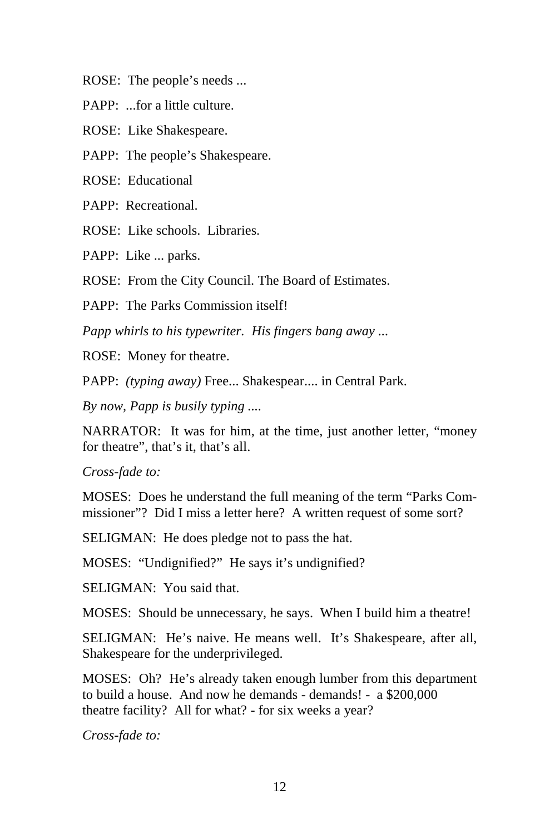ROSE: The people's needs ...

PAPP: ...for a little culture.

ROSE: Like Shakespeare.

PAPP: The people's Shakespeare.

ROSE: Educational

PAPP: Recreational.

ROSE: Like schools. Libraries.

PAPP: Like ... parks.

ROSE: From the City Council. The Board of Estimates.

PAPP: The Parks Commission itself!

*Papp whirls to his typewriter. His fingers bang away ...* 

ROSE: Money for theatre.

PAPP: *(typing away)* Free... Shakespear.... in Central Park.

*By now, Papp is busily typing ....* 

NARRATOR: It was for him, at the time, just another letter, "money for theatre", that's it, that's all.

*Cross-fade to:* 

MOSES: Does he understand the full meaning of the term "Parks Commissioner"? Did I miss a letter here? A written request of some sort?

SELIGMAN: He does pledge not to pass the hat.

MOSES: "Undignified?" He says it's undignified?

SELIGMAN: You said that.

MOSES: Should be unnecessary, he says. When I build him a theatre!

SELIGMAN: He's naive. He means well. It's Shakespeare, after all, Shakespeare for the underprivileged.

MOSES: Oh? He's already taken enough lumber from this department to build a house. And now he demands - demands! - a \$200,000 theatre facility? All for what? - for six weeks a year?

*Cross-fade to:*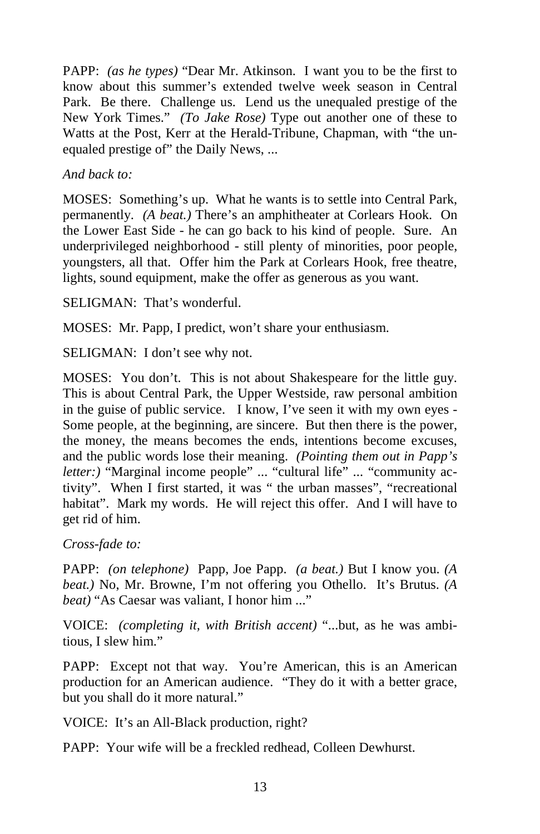PAPP: *(as he types)* "Dear Mr. Atkinson. I want you to be the first to know about this summer's extended twelve week season in Central Park. Be there. Challenge us. Lend us the unequaled prestige of the New York Times." *(To Jake Rose)* Type out another one of these to Watts at the Post, Kerr at the Herald-Tribune, Chapman, with "the unequaled prestige of" the Daily News, ...

#### *And back to:*

MOSES: Something's up. What he wants is to settle into Central Park, permanently. *(A beat.)* There's an amphitheater at Corlears Hook. On the Lower East Side - he can go back to his kind of people. Sure. An underprivileged neighborhood - still plenty of minorities, poor people, youngsters, all that. Offer him the Park at Corlears Hook, free theatre, lights, sound equipment, make the offer as generous as you want.

SELIGMAN: That's wonderful.

MOSES: Mr. Papp, I predict, won't share your enthusiasm.

SELIGMAN: I don't see why not.

MOSES: You don't. This is not about Shakespeare for the little guy. This is about Central Park, the Upper Westside, raw personal ambition in the guise of public service. I know, I've seen it with my own eyes - Some people, at the beginning, are sincere. But then there is the power, the money, the means becomes the ends, intentions become excuses, and the public words lose their meaning. *(Pointing them out in Papp's letter:*) "Marginal income people" ... "cultural life" ... "community activity". When I first started, it was " the urban masses", "recreational habitat". Mark my words. He will reject this offer. And I will have to get rid of him.

*Cross-fade to:* 

PAPP: *(on telephone)* Papp, Joe Papp. *(a beat.)* But I know you. *(A beat.)* No, Mr. Browne, I'm not offering you Othello. It's Brutus. *(A beat)* "As Caesar was valiant, I honor him ..."

VOICE: *(completing it, with British accent)* "...but, as he was ambitious, I slew him."

PAPP: Except not that way. You're American, this is an American production for an American audience. "They do it with a better grace, but you shall do it more natural."

VOICE: It's an All-Black production, right?

PAPP: Your wife will be a freckled redhead, Colleen Dewhurst.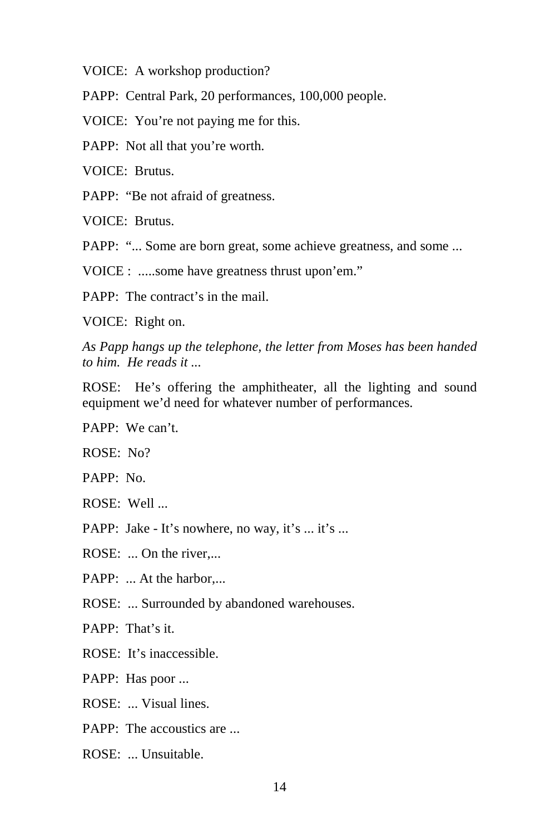VOICE: A workshop production?

PAPP: Central Park, 20 performances, 100,000 people.

VOICE: You're not paying me for this.

PAPP: Not all that you're worth.

VOICE: Brutus.

PAPP: "Be not afraid of greatness.

VOICE: Brutus.

PAPP: "... Some are born great, some achieve greatness, and some ...

VOICE : .....some have greatness thrust upon'em."

PAPP: The contract's in the mail.

VOICE: Right on.

*As Papp hangs up the telephone, the letter from Moses has been handed to him. He reads it ...* 

ROSE: He's offering the amphitheater, all the lighting and sound equipment we'd need for whatever number of performances.

PAPP: We can't.

ROSE: No?

PAPP: No.

ROSE: Well ...

PAPP: Jake - It's nowhere, no way, it's ... it's ...

ROSE: ... On the river....

PAPP: ... At the harbor....

ROSE: ... Surrounded by abandoned warehouses.

PAPP: That's it.

ROSE: It's inaccessible.

PAPP: Has poor ...

ROSE: ... Visual lines.

 $PAPP:$  The accoustics are

ROSE: ... Unsuitable.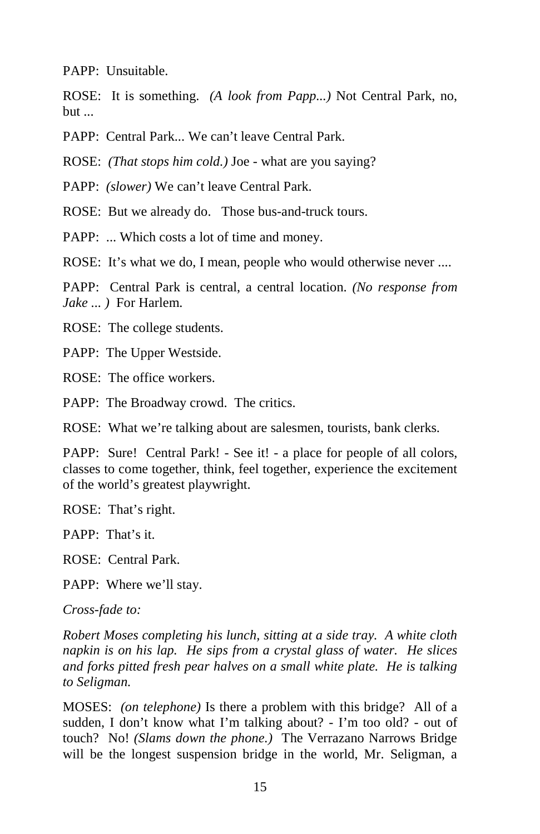PAPP: Unsuitable.

ROSE: It is something. *(A look from Papp...)* Not Central Park, no, but ...

PAPP: Central Park... We can't leave Central Park.

ROSE: *(That stops him cold.)* Joe - what are you saying?

PAPP: *(slower)* We can't leave Central Park.

ROSE: But we already do. Those bus-and-truck tours.

PAPP: ... Which costs a lot of time and money.

ROSE: It's what we do, I mean, people who would otherwise never ....

PAPP: Central Park is central, a central location. *(No response from Jake ... )* For Harlem.

ROSE: The college students.

PAPP: The Upper Westside.

ROSE: The office workers.

PAPP: The Broadway crowd. The critics.

ROSE: What we're talking about are salesmen, tourists, bank clerks.

PAPP: Sure! Central Park! - See it! - a place for people of all colors, classes to come together, think, feel together, experience the excitement of the world's greatest playwright.

ROSE: That's right.

PAPP: That's it.

ROSE: Central Park.

PAPP: Where we'll stay.

*Cross-fade to:* 

*Robert Moses completing his lunch, sitting at a side tray. A white cloth napkin is on his lap. He sips from a crystal glass of water. He slices and forks pitted fresh pear halves on a small white plate. He is talking to Seligman.* 

MOSES: *(on telephone)* Is there a problem with this bridge? All of a sudden, I don't know what I'm talking about? - I'm too old? - out of touch? No! *(Slams down the phone.)* The Verrazano Narrows Bridge will be the longest suspension bridge in the world, Mr. Seligman, a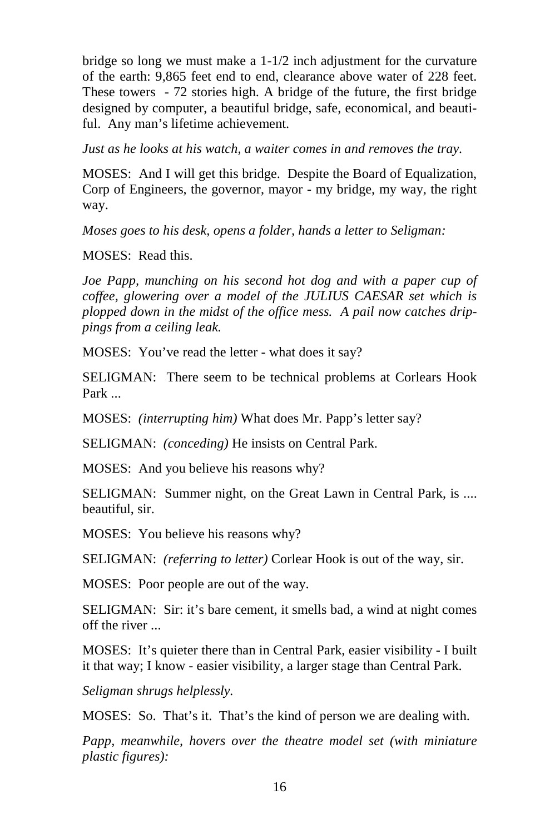bridge so long we must make a 1-1/2 inch adjustment for the curvature of the earth: 9,865 feet end to end, clearance above water of 228 feet. These towers - 72 stories high. A bridge of the future, the first bridge designed by computer, a beautiful bridge, safe, economical, and beautiful. Any man's lifetime achievement.

*Just as he looks at his watch, a waiter comes in and removes the tray.* 

MOSES: And I will get this bridge. Despite the Board of Equalization, Corp of Engineers, the governor, mayor - my bridge, my way, the right way.

*Moses goes to his desk, opens a folder, hands a letter to Seligman:* 

MOSES: Read this.

*Joe Papp, munching on his second hot dog and with a paper cup of coffee, glowering over a model of the JULIUS CAESAR set which is plopped down in the midst of the office mess. A pail now catches drippings from a ceiling leak.* 

MOSES: You've read the letter - what does it say?

SELIGMAN: There seem to be technical problems at Corlears Hook Park ...

MOSES: *(interrupting him)* What does Mr. Papp's letter say?

SELIGMAN: *(conceding)* He insists on Central Park.

MOSES: And you believe his reasons why?

SELIGMAN: Summer night, on the Great Lawn in Central Park, is .... beautiful, sir.

MOSES: You believe his reasons why?

SELIGMAN: *(referring to letter)* Corlear Hook is out of the way, sir.

MOSES: Poor people are out of the way.

SELIGMAN: Sir: it's bare cement, it smells bad, a wind at night comes off the river ...

MOSES: It's quieter there than in Central Park, easier visibility - I built it that way; I know - easier visibility, a larger stage than Central Park.

*Seligman shrugs helplessly.* 

MOSES: So. That's it. That's the kind of person we are dealing with.

*Papp, meanwhile, hovers over the theatre model set (with miniature plastic figures):*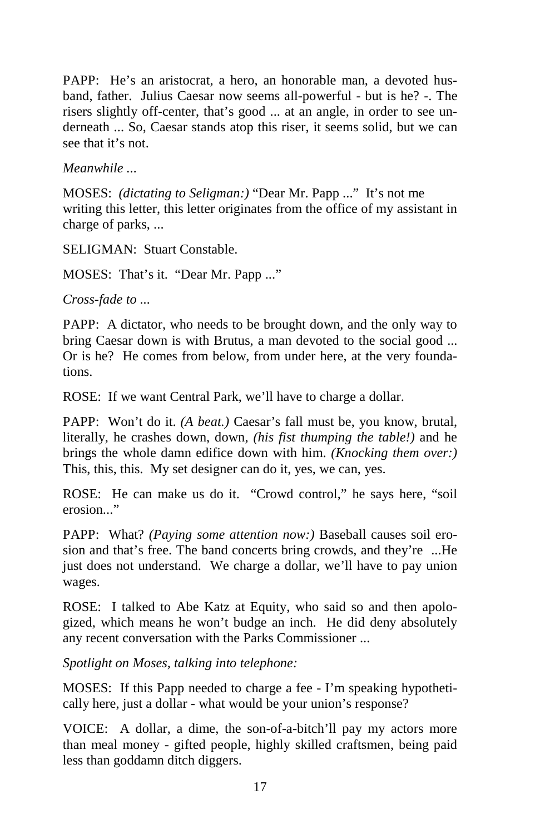PAPP: He's an aristocrat, a hero, an honorable man, a devoted husband, father. Julius Caesar now seems all-powerful - but is he? -. The risers slightly off-center, that's good ... at an angle, in order to see underneath ... So, Caesar stands atop this riser, it seems solid, but we can see that it's not.

*Meanwhile ...* 

MOSES: *(dictating to Seligman:)* "Dear Mr. Papp ..." It's not me writing this letter, this letter originates from the office of my assistant in charge of parks, ...

SELIGMAN: Stuart Constable.

MOSES: That's it. "Dear Mr. Papp ..."

*Cross-fade to ...* 

PAPP: A dictator, who needs to be brought down, and the only way to bring Caesar down is with Brutus, a man devoted to the social good ... Or is he? He comes from below, from under here, at the very foundations.

ROSE: If we want Central Park, we'll have to charge a dollar.

PAPP: Won't do it. *(A beat.)* Caesar's fall must be, you know, brutal, literally, he crashes down, down, *(his fist thumping the table!)* and he brings the whole damn edifice down with him. *(Knocking them over:)*  This, this, this. My set designer can do it, yes, we can, yes.

ROSE: He can make us do it. "Crowd control," he says here, "soil erosion..."

PAPP: What? *(Paying some attention now:)* Baseball causes soil erosion and that's free. The band concerts bring crowds, and they're ...He just does not understand. We charge a dollar, we'll have to pay union wages.

ROSE: I talked to Abe Katz at Equity, who said so and then apologized, which means he won't budge an inch. He did deny absolutely any recent conversation with the Parks Commissioner ...

*Spotlight on Moses, talking into telephone:* 

MOSES: If this Papp needed to charge a fee - I'm speaking hypothetically here, just a dollar - what would be your union's response?

VOICE: A dollar, a dime, the son-of-a-bitch'll pay my actors more than meal money - gifted people, highly skilled craftsmen, being paid less than goddamn ditch diggers.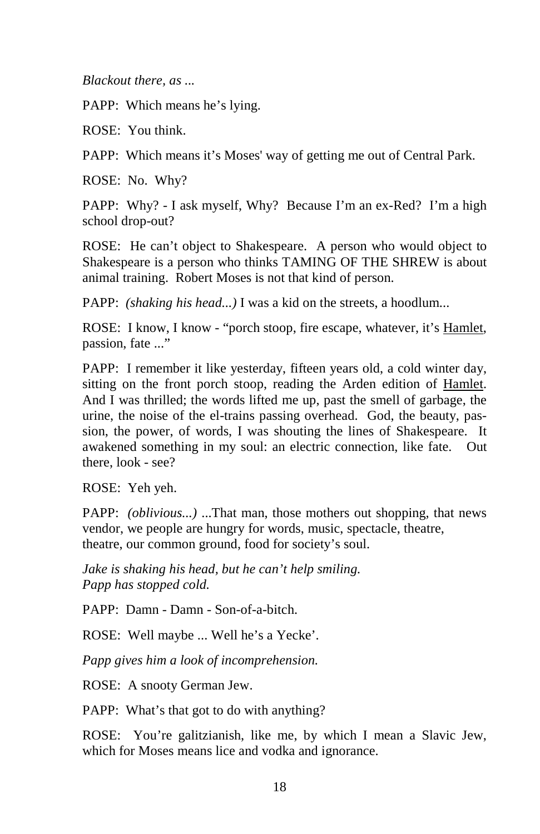*Blackout there, as ...* 

PAPP: Which means he's lying.

ROSE: You think.

PAPP: Which means it's Moses' way of getting me out of Central Park.

ROSE: No. Why?

PAPP: Why? - I ask myself, Why? Because I'm an ex-Red? I'm a high school drop-out?

ROSE: He can't object to Shakespeare. A person who would object to Shakespeare is a person who thinks TAMING OF THE SHREW is about animal training. Robert Moses is not that kind of person.

PAPP: *(shaking his head...)* I was a kid on the streets, a hoodlum...

ROSE: I know, I know - "porch stoop, fire escape, whatever, it's Hamlet, passion, fate ..."

PAPP: I remember it like yesterday, fifteen years old, a cold winter day, sitting on the front porch stoop, reading the Arden edition of Hamlet. And I was thrilled; the words lifted me up, past the smell of garbage, the urine, the noise of the el-trains passing overhead. God, the beauty, passion, the power, of words, I was shouting the lines of Shakespeare. It awakened something in my soul: an electric connection, like fate. Out there, look - see?

ROSE: Yeh yeh.

PAPP: *(oblivious...)* ...That man, those mothers out shopping, that news vendor, we people are hungry for words, music, spectacle, theatre, theatre, our common ground, food for society's soul.

*Jake is shaking his head, but he can't help smiling. Papp has stopped cold.* 

PAPP: Damn - Damn - Son-of-a-bitch.

ROSE: Well maybe ... Well he's a Yecke'.

*Papp gives him a look of incomprehension.* 

ROSE: A snooty German Jew.

PAPP: What's that got to do with anything?

ROSE: You're galitzianish, like me, by which I mean a Slavic Jew, which for Moses means lice and vodka and ignorance.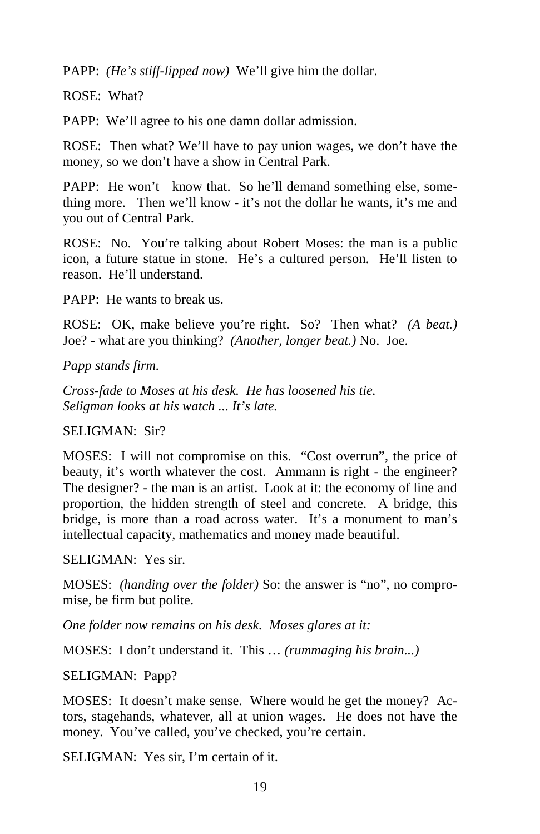PAPP: *(He's stiff-lipped now)* We'll give him the dollar.

ROSE: What?

PAPP: We'll agree to his one damn dollar admission.

ROSE: Then what? We'll have to pay union wages, we don't have the money, so we don't have a show in Central Park.

PAPP: He won't know that. So he'll demand something else, something more. Then we'll know - it's not the dollar he wants, it's me and you out of Central Park.

ROSE: No. You're talking about Robert Moses: the man is a public icon, a future statue in stone. He's a cultured person. He'll listen to reason. He'll understand.

PAPP: He wants to break us.

ROSE: OK, make believe you're right. So? Then what? *(A beat.)*  Joe? - what are you thinking? *(Another, longer beat.)* No. Joe.

*Papp stands firm.* 

*Cross-fade to Moses at his desk. He has loosened his tie. Seligman looks at his watch ... It's late.* 

SELIGMAN: Sir?

MOSES: I will not compromise on this. "Cost overrun", the price of beauty, it's worth whatever the cost. Ammann is right - the engineer? The designer? - the man is an artist. Look at it: the economy of line and proportion, the hidden strength of steel and concrete. A bridge, this bridge, is more than a road across water. It's a monument to man's intellectual capacity, mathematics and money made beautiful.

SELIGMAN: Yes sir.

MOSES: *(handing over the folder)* So: the answer is "no", no compromise, be firm but polite.

*One folder now remains on his desk. Moses glares at it:* 

MOSES: I don't understand it. This … *(rummaging his brain...)*

SELIGMAN: Papp?

MOSES: It doesn't make sense. Where would he get the money? Actors, stagehands, whatever, all at union wages. He does not have the money. You've called, you've checked, you're certain.

SELIGMAN: Yes sir, I'm certain of it.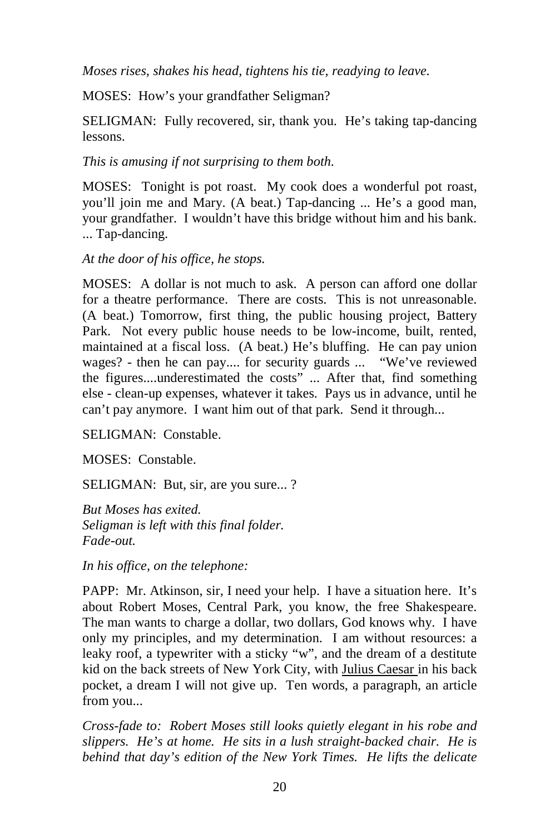*Moses rises, shakes his head, tightens his tie, readying to leave.* 

MOSES: How's your grandfather Seligman?

SELIGMAN: Fully recovered, sir, thank you. He's taking tap-dancing lessons.

# *This is amusing if not surprising to them both.*

MOSES: Tonight is pot roast. My cook does a wonderful pot roast, you'll join me and Mary. (A beat.) Tap-dancing ... He's a good man, your grandfather. I wouldn't have this bridge without him and his bank. ... Tap-dancing.

# *At the door of his office, he stops.*

MOSES: A dollar is not much to ask. A person can afford one dollar for a theatre performance. There are costs. This is not unreasonable. (A beat.) Tomorrow, first thing, the public housing project, Battery Park. Not every public house needs to be low-income, built, rented, maintained at a fiscal loss. (A beat.) He's bluffing. He can pay union wages? - then he can pay.... for security guards ... "We've reviewed the figures....underestimated the costs" ... After that, find something else - clean-up expenses, whatever it takes. Pays us in advance, until he can't pay anymore. I want him out of that park. Send it through...

SELIGMAN: Constable.

MOSES: Constable.

SELIGMAN: But, sir, are you sure... ?

*But Moses has exited. Seligman is left with this final folder. Fade-out.* 

*In his office, on the telephone:* 

PAPP: Mr. Atkinson, sir, I need your help. I have a situation here. It's about Robert Moses, Central Park, you know, the free Shakespeare. The man wants to charge a dollar, two dollars, God knows why. I have only my principles, and my determination. I am without resources: a leaky roof, a typewriter with a sticky "w", and the dream of a destitute kid on the back streets of New York City, with Julius Caesar in his back pocket, a dream I will not give up. Ten words, a paragraph, an article from you...

*Cross-fade to: Robert Moses still looks quietly elegant in his robe and slippers. He's at home. He sits in a lush straight-backed chair. He is behind that day's edition of the New York Times. He lifts the delicate*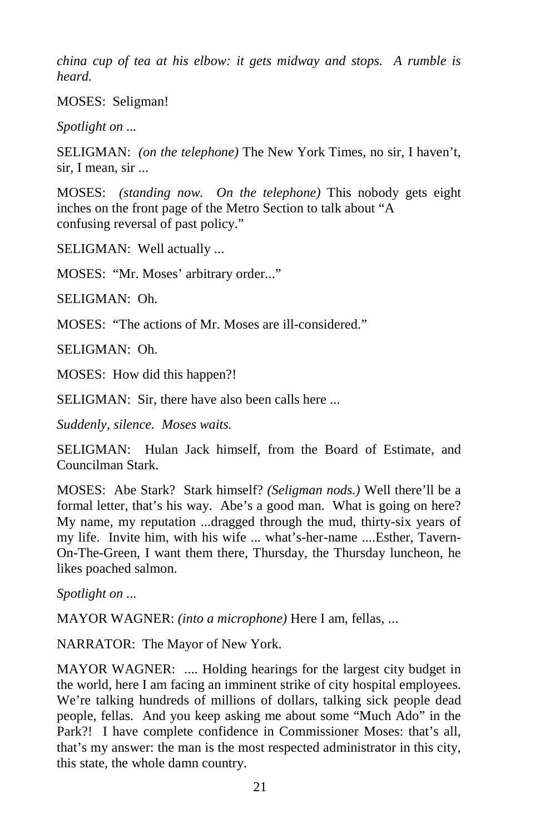*china cup of tea at his elbow: it gets midway and stops. A rumble is heard.* 

MOSES: Seligman!

*Spotlight on ...* 

SELIGMAN: *(on the telephone)* The New York Times, no sir, I haven't, sir, I mean, sir ...

MOSES: *(standing now. On the telephone)* This nobody gets eight inches on the front page of the Metro Section to talk about "A confusing reversal of past policy."

SELIGMAN: Well actually ...

MOSES: "Mr. Moses' arbitrary order..."

SELIGMAN: Oh.

MOSES: "The actions of Mr. Moses are ill-considered."

SELIGMAN: Oh.

MOSES: How did this happen?!

SELIGMAN: Sir, there have also been calls here ...

*Suddenly, silence. Moses waits.* 

SELIGMAN: Hulan Jack himself, from the Board of Estimate, and Councilman Stark.

MOSES: Abe Stark? Stark himself? *(Seligman nods.)* Well there'll be a formal letter, that's his way. Abe's a good man. What is going on here? My name, my reputation ...dragged through the mud, thirty-six years of my life. Invite him, with his wife ... what's-her-name ....Esther, Tavern-On-The-Green, I want them there, Thursday, the Thursday luncheon, he likes poached salmon.

*Spotlight on ...* 

MAYOR WAGNER: *(into a microphone)* Here I am, fellas, ...

NARRATOR: The Mayor of New York.

MAYOR WAGNER: .... Holding hearings for the largest city budget in the world, here I am facing an imminent strike of city hospital employees. We're talking hundreds of millions of dollars, talking sick people dead people, fellas. And you keep asking me about some "Much Ado" in the Park?! I have complete confidence in Commissioner Moses: that's all, that's my answer: the man is the most respected administrator in this city, this state, the whole damn country.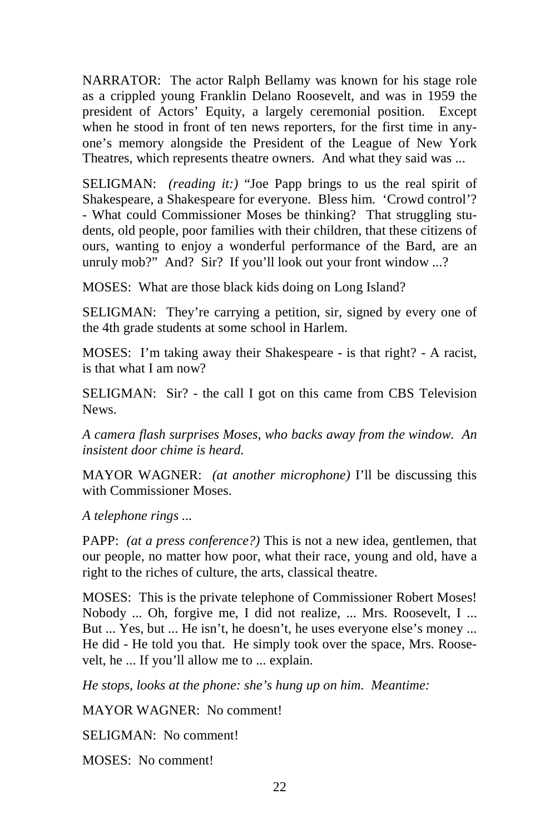NARRATOR: The actor Ralph Bellamy was known for his stage role as a crippled young Franklin Delano Roosevelt, and was in 1959 the president of Actors' Equity, a largely ceremonial position. Except when he stood in front of ten news reporters, for the first time in anyone's memory alongside the President of the League of New York Theatres, which represents theatre owners. And what they said was ...

SELIGMAN: *(reading it:)* "Joe Papp brings to us the real spirit of Shakespeare, a Shakespeare for everyone. Bless him. 'Crowd control'? - What could Commissioner Moses be thinking? That struggling students, old people, poor families with their children, that these citizens of ours, wanting to enjoy a wonderful performance of the Bard, are an unruly mob?" And? Sir? If you'll look out your front window ...?

MOSES: What are those black kids doing on Long Island?

SELIGMAN: They're carrying a petition, sir, signed by every one of the 4th grade students at some school in Harlem.

MOSES: I'm taking away their Shakespeare - is that right? - A racist, is that what I am now?

SELIGMAN: Sir? - the call I got on this came from CBS Television News.

*A camera flash surprises Moses, who backs away from the window. An insistent door chime is heard.* 

MAYOR WAGNER: *(at another microphone)* I'll be discussing this with Commissioner Moses.

*A telephone rings ...* 

PAPP: *(at a press conference?)* This is not a new idea, gentlemen, that our people, no matter how poor, what their race, young and old, have a right to the riches of culture, the arts, classical theatre.

MOSES: This is the private telephone of Commissioner Robert Moses! Nobody ... Oh, forgive me, I did not realize, ... Mrs. Roosevelt, I ... But ... Yes, but ... He isn't, he doesn't, he uses everyone else's money ... He did - He told you that. He simply took over the space, Mrs. Roosevelt, he ... If you'll allow me to ... explain.

*He stops, looks at the phone: she's hung up on him. Meantime:* 

MAYOR WAGNER: No comment!

SELIGMAN: No comment!

MOSES: No comment!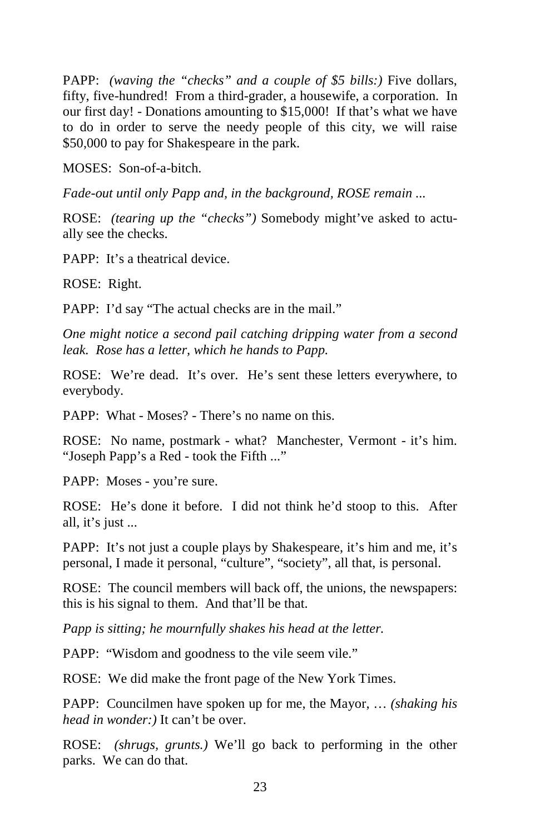PAPP: *(waving the "checks" and a couple of \$5 bills:)* Five dollars, fifty, five-hundred! From a third-grader, a housewife, a corporation. In our first day! - Donations amounting to \$15,000! If that's what we have to do in order to serve the needy people of this city, we will raise \$50,000 to pay for Shakespeare in the park.

MOSES: Son-of-a-bitch.

*Fade-out until only Papp and, in the background, ROSE remain ...* 

ROSE: *(tearing up the "checks")* Somebody might've asked to actually see the checks.

PAPP: It's a theatrical device.

ROSE: Right.

PAPP: I'd say "The actual checks are in the mail."

*One might notice a second pail catching dripping water from a second leak. Rose has a letter, which he hands to Papp.* 

ROSE: We're dead. It's over. He's sent these letters everywhere, to everybody.

PAPP: What - Moses? - There's no name on this.

ROSE: No name, postmark - what? Manchester, Vermont - it's him. "Joseph Papp's a Red - took the Fifth ..."

PAPP: Moses - you're sure.

ROSE: He's done it before. I did not think he'd stoop to this. After all, it's just ...

PAPP: It's not just a couple plays by Shakespeare, it's him and me, it's personal, I made it personal, "culture", "society", all that, is personal.

ROSE: The council members will back off, the unions, the newspapers: this is his signal to them. And that'll be that.

*Papp is sitting; he mournfully shakes his head at the letter.* 

PAPP: "Wisdom and goodness to the vile seem vile."

ROSE: We did make the front page of the New York Times.

PAPP: Councilmen have spoken up for me, the Mayor, … *(shaking his head in wonder:)* It can't be over.

ROSE: *(shrugs, grunts.)* We'll go back to performing in the other parks. We can do that.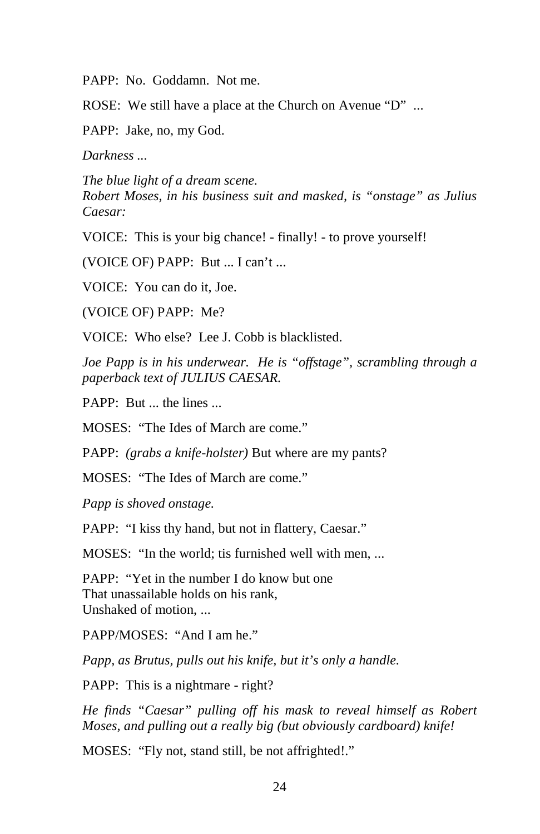PAPP: No. Goddamn. Not me.

ROSE: We still have a place at the Church on Avenue "D" ...

PAPP: Jake, no, my God.

*Darkness ...* 

*The blue light of a dream scene. Robert Moses, in his business suit and masked, is "onstage" as Julius Caesar:* 

VOICE: This is your big chance! - finally! - to prove yourself!

(VOICE OF) PAPP: But ... I can't ...

VOICE: You can do it, Joe.

(VOICE OF) PAPP: Me?

VOICE: Who else? Lee J. Cobb is blacklisted.

*Joe Papp is in his underwear. He is "offstage", scrambling through a paperback text of JULIUS CAESAR.* 

PAPP: But ... the lines ...

MOSES: "The Ides of March are come."

PAPP: *(grabs a knife-holster)* But where are my pants?

MOSES: "The Ides of March are come."

*Papp is shoved onstage.* 

PAPP: "I kiss thy hand, but not in flattery, Caesar."

MOSES: "In the world; tis furnished well with men, ...

PAPP: "Yet in the number I do know but one That unassailable holds on his rank, Unshaked of motion, ...

PAPP/MOSES: "And I am he."

*Papp, as Brutus, pulls out his knife, but it's only a handle.* 

PAPP: This is a nightmare - right?

*He finds "Caesar" pulling off his mask to reveal himself as Robert Moses, and pulling out a really big (but obviously cardboard) knife!* 

MOSES: "Fly not, stand still, be not affrighted!."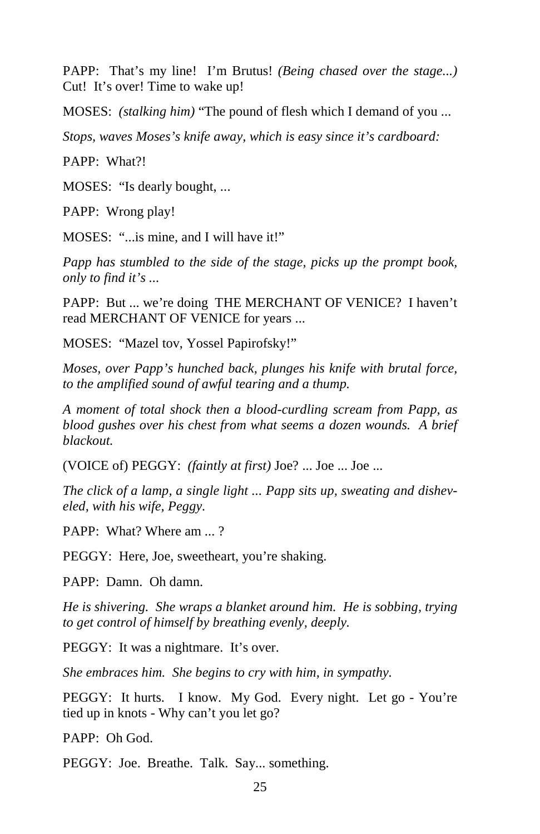PAPP: That's my line! I'm Brutus! *(Being chased over the stage...)*  Cut! It's over! Time to wake up!

MOSES: *(stalking him)* "The pound of flesh which I demand of you ...

*Stops, waves Moses's knife away, which is easy since it's cardboard:* 

PAPP: What?!

MOSES: "Is dearly bought, ...

PAPP: Wrong play!

MOSES: "...is mine, and I will have it!"

*Papp has stumbled to the side of the stage, picks up the prompt book, only to find it's ...*

PAPP: But ... we're doing THE MERCHANT OF VENICE? I haven't read MERCHANT OF VENICE for years ...

MOSES: "Mazel tov, Yossel Papirofsky!"

*Moses, over Papp's hunched back, plunges his knife with brutal force, to the amplified sound of awful tearing and a thump.* 

*A moment of total shock then a blood-curdling scream from Papp, as blood gushes over his chest from what seems a dozen wounds. A brief blackout.* 

(VOICE of) PEGGY: *(faintly at first)* Joe? ... Joe ... Joe ...

*The click of a lamp, a single light ... Papp sits up, sweating and disheveled, with his wife, Peggy.* 

PAPP: What? Where am  $\frac{1}{2}$ 

PEGGY: Here, Joe, sweetheart, you're shaking.

PAPP: Damn. Oh damn.

*He is shivering. She wraps a blanket around him. He is sobbing, trying to get control of himself by breathing evenly, deeply.* 

PEGGY: It was a nightmare. It's over.

*She embraces him. She begins to cry with him, in sympathy.* 

PEGGY: It hurts. I know. My God. Every night. Let go - You're tied up in knots - Why can't you let go?

PAPP: Oh God.

PEGGY: Joe. Breathe. Talk. Say... something.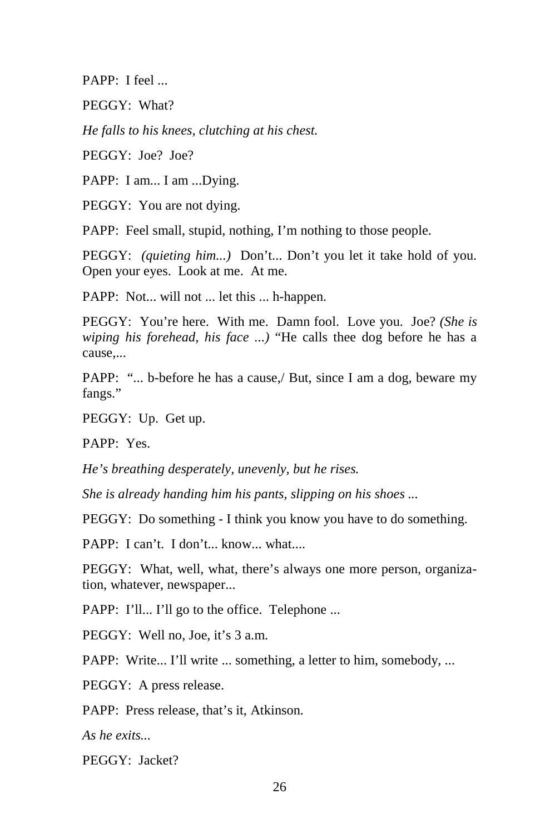PAPP: I feel ...

PEGGY: What?

*He falls to his knees, clutching at his chest.* 

PEGGY: Joe? Joe?

PAPP: I am... I am ...Dying.

PEGGY: You are not dying.

PAPP: Feel small, stupid, nothing, I'm nothing to those people.

PEGGY: *(quieting him...)* Don't... Don't you let it take hold of you. Open your eyes. Look at me. At me.

PAPP: Not... will not ... let this ... h-happen.

PEGGY: You're here. With me. Damn fool. Love you. Joe? *(She is wiping his forehead, his face ...)* "He calls thee dog before he has a cause,...

PAPP: "... b-before he has a cause,/ But, since I am a dog, beware my fangs."

PEGGY: Up. Get up.

PAPP: Yes.

*He's breathing desperately, unevenly, but he rises.*

*She is already handing him his pants, slipping on his shoes ...* 

PEGGY: Do something - I think you know you have to do something.

PAPP: I can't. I don't... know... what....

PEGGY: What, well, what, there's always one more person, organization, whatever, newspaper...

PAPP: I'll... I'll go to the office. Telephone ...

PEGGY: Well no, Joe, it's 3 a.m.

PAPP: Write... I'll write ... something, a letter to him, somebody, ...

PEGGY: A press release.

PAPP: Press release, that's it, Atkinson.

*As he exits...* 

PEGGY: Jacket?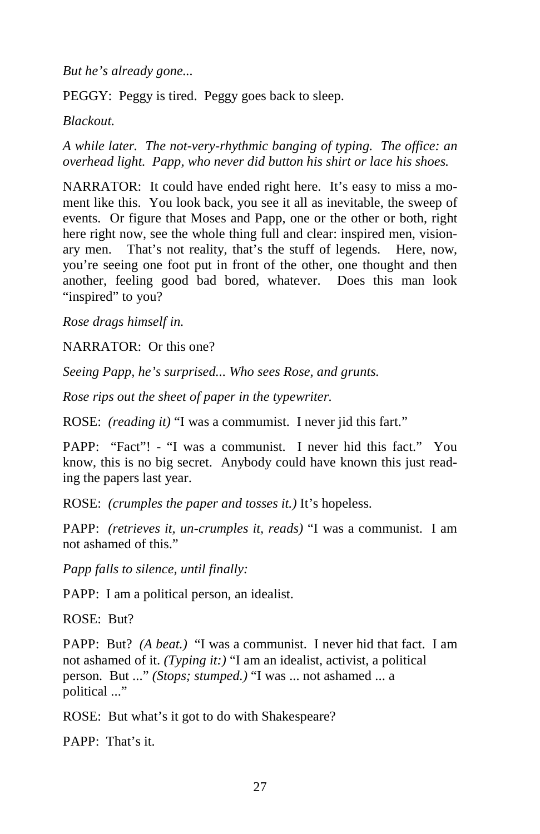*But he's already gone...* 

PEGGY: Peggy is tired. Peggy goes back to sleep.

*Blackout.* 

*A while later. The not-very-rhythmic banging of typing. The office: an overhead light. Papp, who never did button his shirt or lace his shoes.* 

NARRATOR: It could have ended right here. It's easy to miss a moment like this. You look back, you see it all as inevitable, the sweep of events. Or figure that Moses and Papp, one or the other or both, right here right now, see the whole thing full and clear: inspired men, visionary men. That's not reality, that's the stuff of legends. Here, now, you're seeing one foot put in front of the other, one thought and then another, feeling good bad bored, whatever. Does this man look "inspired" to you?

*Rose drags himself in.* 

NARRATOR: Or this one?

*Seeing Papp, he's surprised... Who sees Rose, and grunts.* 

*Rose rips out the sheet of paper in the typewriter.*

ROSE: *(reading it)* "I was a commumist. I never jid this fart."

PAPP: "Fact"! - "I was a communist. I never hid this fact." You know, this is no big secret. Anybody could have known this just reading the papers last year.

ROSE: *(crumples the paper and tosses it.)* It's hopeless.

PAPP: *(retrieves it, un-crumples it, reads)* "I was a communist. I am not ashamed of this."

*Papp falls to silence, until finally:* 

PAPP: I am a political person, an idealist.

ROSE: But?

PAPP: But? *(A beat.)* "I was a communist. I never hid that fact. I am not ashamed of it. *(Typing it:)* "I am an idealist, activist, a political person. But ..." *(Stops; stumped.)* "I was ... not ashamed ... a political ..."

ROSE: But what's it got to do with Shakespeare?

PAPP: That's it.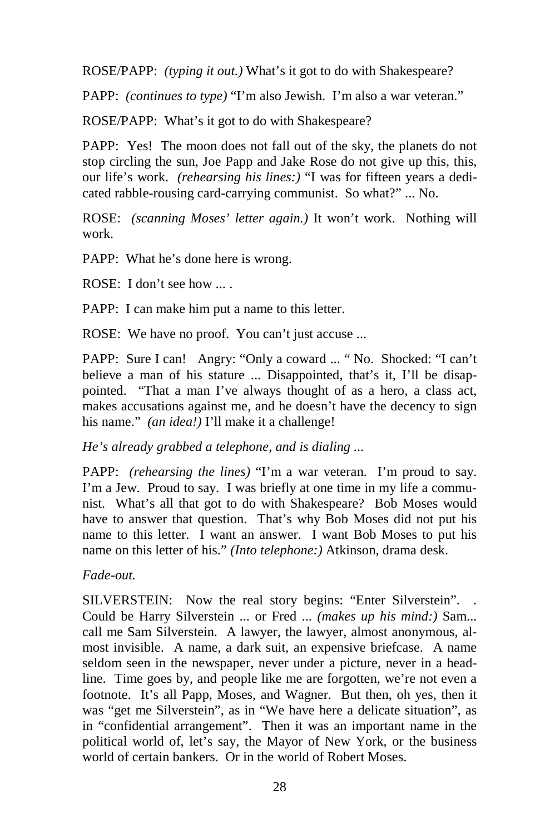ROSE/PAPP: *(typing it out.)* What's it got to do with Shakespeare?

PAPP: *(continues to type)* "I'm also Jewish. I'm also a war veteran."

ROSE/PAPP: What's it got to do with Shakespeare?

PAPP: Yes! The moon does not fall out of the sky, the planets do not stop circling the sun, Joe Papp and Jake Rose do not give up this, this, our life's work. *(rehearsing his lines:)* "I was for fifteen years a dedicated rabble-rousing card-carrying communist. So what?" ... No.

ROSE: *(scanning Moses' letter again.)* It won't work. Nothing will work.

PAPP: What he's done here is wrong.

ROSE: I don't see how ... .

PAPP: I can make him put a name to this letter.

ROSE: We have no proof. You can't just accuse ...

PAPP: Sure I can! Angry: "Only a coward ... " No. Shocked: "I can't believe a man of his stature ... Disappointed, that's it, I'll be disappointed. "That a man I've always thought of as a hero, a class act, makes accusations against me, and he doesn't have the decency to sign his name." *(an idea!)* I'll make it a challenge!

*He's already grabbed a telephone, and is dialing ...* 

PAPP: *(rehearsing the lines)* "I'm a war veteran. I'm proud to say. I'm a Jew. Proud to say. I was briefly at one time in my life a communist. What's all that got to do with Shakespeare? Bob Moses would have to answer that question. That's why Bob Moses did not put his name to this letter. I want an answer. I want Bob Moses to put his name on this letter of his." *(Into telephone:)* Atkinson, drama desk.

*Fade-out.* 

SILVERSTEIN: Now the real story begins: "Enter Silverstein". . Could be Harry Silverstein ... or Fred ... *(makes up his mind:)* Sam... call me Sam Silverstein. A lawyer, the lawyer, almost anonymous, almost invisible. A name, a dark suit, an expensive briefcase. A name seldom seen in the newspaper, never under a picture, never in a headline. Time goes by, and people like me are forgotten, we're not even a footnote. It's all Papp, Moses, and Wagner. But then, oh yes, then it was "get me Silverstein", as in "We have here a delicate situation", as in "confidential arrangement". Then it was an important name in the political world of, let's say, the Mayor of New York, or the business world of certain bankers. Or in the world of Robert Moses.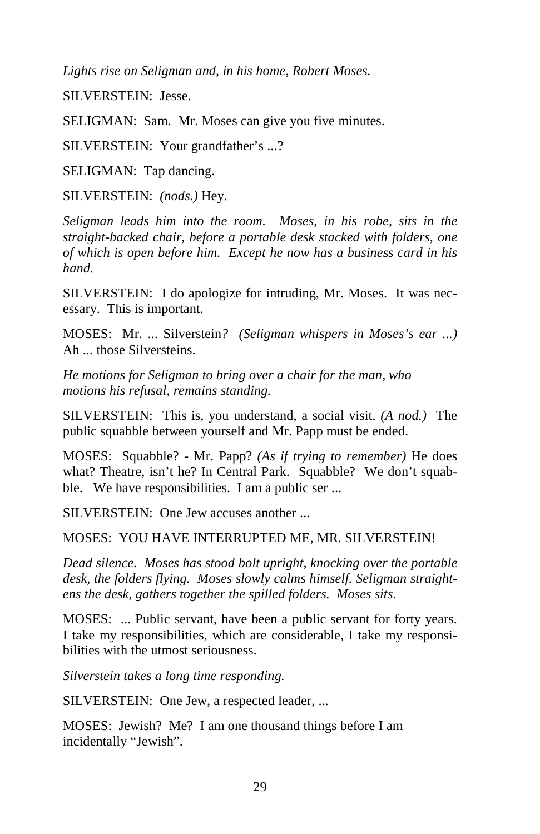*Lights rise on Seligman and, in his home, Robert Moses.* 

SILVERSTEIN: Jesse.

SELIGMAN: Sam. Mr. Moses can give you five minutes.

SILVERSTEIN: Your grandfather's ...?

SELIGMAN: Tap dancing.

SILVERSTEIN: *(nods.)* Hey.

*Seligman leads him into the room. Moses, in his robe, sits in the straight-backed chair, before a portable desk stacked with folders, one of which is open before him. Except he now has a business card in his hand.* 

SILVERSTEIN: I do apologize for intruding, Mr. Moses. It was necessary. This is important.

MOSES: Mr. ... Silverstein*? (Seligman whispers in Moses's ear ...)*  Ah ... those Silversteins.

*He motions for Seligman to bring over a chair for the man, who motions his refusal, remains standing.* 

SILVERSTEIN: This is, you understand, a social visit. *(A nod.)* The public squabble between yourself and Mr. Papp must be ended.

MOSES: Squabble? - Mr. Papp? *(As if trying to remember)* He does what? Theatre, isn't he? In Central Park. Squabble? We don't squabble. We have responsibilities. I am a public ser ...

SILVERSTEIN: One Jew accuses another ...

MOSES: YOU HAVE INTERRUPTED ME, MR. SILVERSTEIN!

*Dead silence. Moses has stood bolt upright, knocking over the portable desk, the folders flying. Moses slowly calms himself. Seligman straightens the desk, gathers together the spilled folders. Moses sits.* 

MOSES: ... Public servant, have been a public servant for forty years. I take my responsibilities, which are considerable, I take my responsibilities with the utmost seriousness.

*Silverstein takes a long time responding.* 

SILVERSTEIN: One Jew, a respected leader, ...

MOSES: Jewish? Me? I am one thousand things before I am incidentally "Jewish".